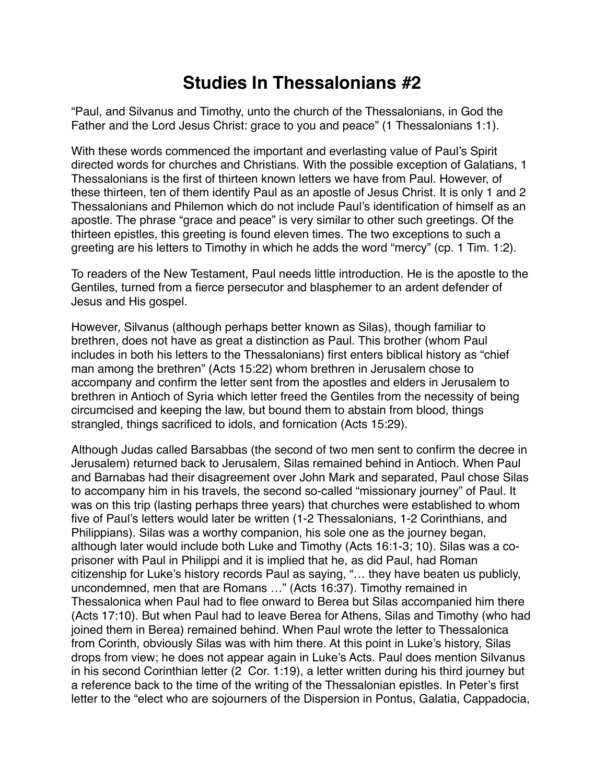## **Studies In Thessalonians #2**

"Paul, and Silvanus and Timothy, unto the church of the Thessalonians, in God the Father and the Lord Jesus Christ: grace to you and peace" (1 Thessalonians 1:1).

With these words commenced the important and everlasting value of Paul's Spirit directed words for churches and Christians. With the possible exception of Galatians, 1 Thessalonians is the first of thirteen known letters we have from Paul. However, of these thirteen, ten of them identify Paul as an apostle of Jesus Christ. It is only 1 and 2 Thessalonians and Philemon which do not include Paul's identification of himself as an apostle. The phrase "grace and peace" is very similar to other such greetings. Of the thirteen epistles, this greeting is found eleven times. The two exceptions to such a greeting are his letters to Timothy in which he adds the word "mercy" (cp. 1 Tim. 1:2).

To readers of the New Testament, Paul needs little introduction. He is the apostle to the Gentiles, turned from a fierce persecutor and blasphemer to an ardent defender of Jesus and His gospel.

However, Silvanus (although perhaps better known as Silas), though familiar to brethren, does not have as great a distinction as Paul. This brother (whom Paul includes in both his letters to the Thessalonians) first enters biblical history as "chief man among the brethren" (Acts 15:22) whom brethren in Jerusalem chose to accompany and confirm the letter sent from the apostles and elders in Jerusalem to brethren in Antioch of Syria which letter freed the Gentiles from the necessity of being circumcised and keeping the law, but bound them to abstain from blood, things strangled, things sacrificed to idols, and fornication (Acts 15:29).

Although Judas called Barsabbas (the second of two men sent to confirm the decree in Jerusalem) returned back to Jerusalem, Silas remained behind in Antioch. When Paul and Barnabas had their disagreement over John Mark and separated, Paul chose Silas to accompany him in his travels, the second so-called "missionary journey" of Paul. It was on this trip (lasting perhaps three years) that churches were established to whom five of Paul's letters would later be written (1-2 Thessalonians, 1-2 Corinthians, and Philippians). Silas was a worthy companion, his sole one as the journey began, although later would include both Luke and Timothy (Acts 16:1-3; 10). Silas was a coprisoner with Paul in Philippi and it is implied that he, as did Paul, had Roman citizenship for Luke's history records Paul as saying, "… they have beaten us publicly, uncondemned, men that are Romans …" (Acts 16:37). Timothy remained in Thessalonica when Paul had to flee onward to Berea but Silas accompanied him there (Acts 17:10). But when Paul had to leave Berea for Athens, Silas and Timothy (who had joined them in Berea) remained behind. When Paul wrote the letter to Thessalonica from Corinth, obviously Silas was with him there. At this point in Luke's history, Silas drops from view; he does not appear again in Luke's Acts. Paul does mention Silvanus in his second Corinthian letter (2 Cor. 1:19), a letter written during his third journey but a reference back to the time of the writing of the Thessalonian epistles. In Peter's first letter to the "elect who are sojourners of the Dispersion in Pontus, Galatia, Cappadocia,